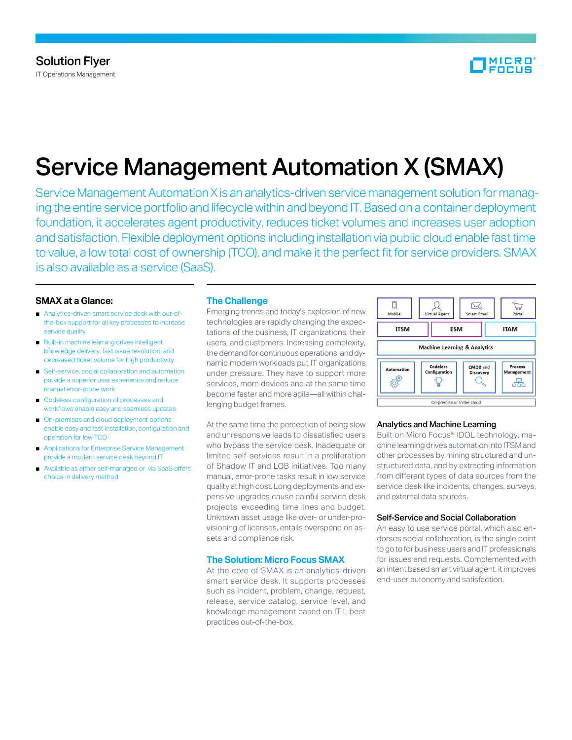

# Service Management Automation X (SMAX)

Service Management Automation X is an analytics-driven service management solution for managing the entire service portfolio and lifecycle within and beyond IT. Based on a container deployment foundation, it accelerates agent productivity, reduces ticket volumes and increases user adoption and satisfaction. Flexible deployment options including installation via public cloud enable fast time to value, a low total cost of ownership (TCO), and make it the perfect fit for service providers. SMAX is also available as a service (SaaS).

## **SMAX at a Glance:**

- Analytics-driven smart service desk with out-ofthe-box support for all key processes to increase service quality
- Built-in machine learning drives intelligent knowledge delivery, fast issue resolution, and decreased ticket volume for high productivity
- Self-service, social collaboration and automation provide a superior user experience and reduce manual error-prone work
- Codeless configuration of processes and workflows enable easy and seamless updates
- On-premises and cloud deployment options enable easy and fast installation, configuration and operation for low TCO
- Applications for Enterprise Service Management provide a modern service desk beyond IT
- Available as either self-managed or via SaaS offers choice in delivery method

## **The Challenge**

Emerging trends and today's explosion of new technologies are rapidly changing the expectations of the business, IT organizations, their users, and customers. Increasing complexity, the demand for continuous operations, and dynamic modern workloads put IT organizations under pressure. They have to support more services, more devices and at the same time become faster and more agile—all within challenging budget frames.

At the same time the perception of being slow and unresponsive leads to dissatisfied users who bypass the service desk. Inadequate or limited self-services result in a proliferation of Shadow IT and LOB initiatives. Too many manual, error-prone tasks result in low service quality at high cost. Long deployments and expensive upgrades cause painful service desk projects, exceeding time lines and budget. Unknown asset usage like over- or under-provisioning of licenses, entails overspend on assets and compliance risk.

## **The Solution: Micro Focus SMAX**

At the core of SMAX is an analytics-driven smart service desk. It supports processes such as incident, problem, change, request, release, service catalog, service level, and knowledge management based on ITIL best practices out-of-the-box.



## Analytics and Machine Learning

Built on Micro Focus® IDOL technology, machine learning drives automation into ITSM and other processes by mining structured and unstructured data, and by extracting information from different types of data sources from the service desk like incidents, changes, surveys, and external data sources.

#### Self-Service and Social Collaboration

An easy to use service portal, which also endorses social collaboration, is the single point to go to for business users and IT professionals for issues and requests. Complemented with an intent based smart virtual agent, it improves end-user autonomy and satisfaction.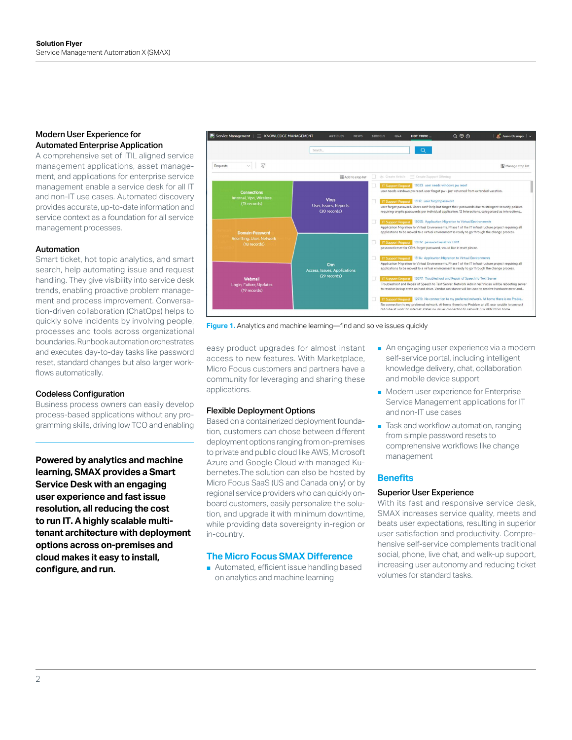# Modern User Experience for Automated Enterprise Application

A comprehensive set of ITIL aligned service management applications, asset management, and applications for enterprise service management enable a service desk for all IT and non-IT use cases. Automated discovery provides accurate, up-to-date information and service context as a foundation for all service management processes.

## Automation

Smart ticket, hot topic analytics, and smart search, help automating issue and request handling. They give visibility into service desk trends, enabling proactive problem management and process improvement. Conversation-driven collaboration (ChatOps) helps to quickly solve incidents by involving people, processes and tools across organizational boundaries. Runbook automation orchestrates and executes day-to-day tasks like password reset, standard changes but also larger workflows automatically.

#### Codeless Configuration

Business process owners can easily develop process-based applications without any programming skills, driving low TCO and enabling

**Powered by analytics and machine learning, SMAX provides a Smart Service Desk with an engaging user experience and fast issue resolution, all reducing the cost to run IT. A highly scalable multitenant architecture with deployment options across on-premises and cloud makes it easy to install, configure, and run.**



**Figure 1.** Analytics and machine learning—find and solve issues quickly

easy product upgrades for almost instant access to new features. With Marketplace, Micro Focus customers and partners have a community for leveraging and sharing these applications.

## Flexible Deployment Options

Based on a containerized deployment foundation, customers can chose between different deployment options ranging from on-premises to private and public cloud like AWS, Microsoft Azure and Google Cloud with managed Kubernetes.The solution can also be hosted by Micro Focus SaaS (US and Canada only) or by regional service providers who can quickly onboard customers, easily personalize the solution, and upgrade it with minimum downtime, while providing data sovereignty in-region or in-country.

## **The Micro Focus SMAX Difference**

■ Automated, efficient issue handling based on analytics and machine learning

- An engaging user experience via a modern self-service portal, including intelligent knowledge delivery, chat, collaboration and mobile device support
- Modern user experience for Enterprise Service Management applications for IT and non-IT use cases
- Task and workflow automation, ranging from simple password resets to comprehensive workflows like change management

# **Benefits**

#### Superior User Experience

With its fast and responsive service desk, SMAX increases service quality, meets and beats user expectations, resulting in superior user satisfaction and productivity. Comprehensive self-service complements traditional social, phone, live chat, and walk-up support, increasing user autonomy and reducing ticket volumes for standard tasks.